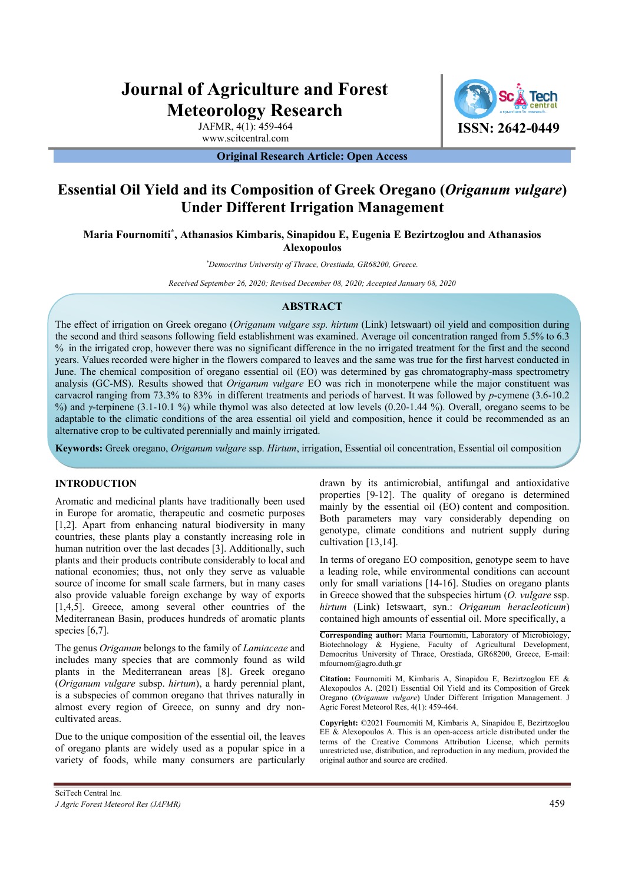# **Journal of Agriculture and Forest Meteorology Research**

JAFMR, 4(1): 459-464 www.scitcentral.com

**ISSN: 2642-0449**

**Original Research Article: Open Access** 

## **Essential Oil Yield and its Composition of Greek Oregano (***Origanum vulgare***) Under Different Irrigation Management**

**Maria Fournomiti\* , Athanasios Kimbaris, Sinapidou E, Eugenia E Bezirtzoglou and Athanasios Alexopoulos** 

*\* Democritus University of Thrace, Orestiada, GR68200, Greece.* 

*Received September 26, 2020; Revised December 08, 2020; Accepted January 08, 2020*

### **ABSTRACT**

The effect of irrigation on Greek oregano (*Origanum vulgare ssp. hirtum* (Link) Ietswaart) oil yield and composition during the second and third seasons following field establishment was examined. Average oil concentration ranged from 5.5% to 6.3 % in the irrigated crop, however there was no significant difference in the no irrigated treatment for the first and the second years. Values recorded were higher in the flowers compared to leaves and the same was true for the first harvest conducted in June. The chemical composition of oregano essential oil (EO) was determined by gas chromatography-mass spectrometry analysis (GC-MS). Results showed that *Origanum vulgare* EO was rich in monoterpene while the major constituent was carvacrol ranging from 73.3% to 83% in different treatments and periods of harvest. It was followed by *p*-cymene (3.6-10.2 %) and *γ*-terpinene (3.1-10.1 %) while thymol was also detected at low levels (0.20-1.44 %). Overall, oregano seems to be adaptable to the climatic conditions of the area essential oil yield and composition, hence it could be recommended as an alternative crop to be cultivated perennially and mainly irrigated.

**Keywords:** Greek oregano, *Origanum vulgare* ssp. *Hirtum*, irrigation, Essential oil concentration, Essential oil composition

#### **INTRODUCTION**

Aromatic and medicinal plants have traditionally been used in Europe for aromatic, therapeutic and cosmetic purposes [1,2]. Apart from enhancing natural biodiversity in many countries, these plants play a constantly increasing role in human nutrition over the last decades [3]. Additionally, such plants and their products contribute considerably to local and national economies; thus, not only they serve as valuable source of income for small scale farmers, but in many cases also provide valuable foreign exchange by way of exports [1,4,5]. Greece, among several other countries of the Mediterranean Basin, produces hundreds of aromatic plants species [6,7].

The genus *Origanum* belongs to the family of *Lamiaceae* and includes many species that are commonly found as wild plants in the Mediterranean areas [8]. Greek oregano (*Origanum vulgare* subsp. *hirtum*), a hardy perennial plant, is a subspecies of common oregano that thrives naturally in almost every region of Greece, on sunny and dry noncultivated areas.

Due to the unique composition of the essential oil, the leaves of oregano plants are widely used as a popular spice in a variety of foods, while many consumers are particularly

In terms of oregano EO composition, genotype seem to have a leading role, while environmental conditions can account only for small variations [14-16]. Studies on oregano plants in Greece showed that the subspecies hirtum (*O. vulgare* ssp. *hirtum* (Link) Ietswaart, syn.: *Origanum heracleoticum*) contained high amounts of essential oil. More specifically, a

cultivation [13,14].

**Corresponding author:** Maria Fournomiti, Laboratory of Microbiology, Biotechnology & Hygiene, Faculty of Agricultural Development, Democritus University of Thrace, Orestiada, GR68200, Greece, E-mail: mfournom@agro.duth.gr

drawn by its antimicrobial, antifungal and antioxidative properties [9-12]. The quality of oregano is determined mainly by the essential oil (EO) content and composition. Both parameters may vary considerably depending on genotype, climate conditions and nutrient supply during

**Citation:** Fournomiti M, Kimbaris A, Sinapidou E, Bezirtzoglou EE & Alexopoulos A. (2021) Essential Oil Yield and its Composition of Greek Oregano (*Origanum vulgare*) Under Different Irrigation Management. J Agric Forest Meteorol Res, 4(1): 459-464.

**Copyright:** ©2021 Fournomiti M, Kimbaris A, Sinapidou E, Bezirtzoglou EE & Alexopoulos A. This is an open-access article distributed under the terms of the Creative Commons Attribution License, which permits unrestricted use, distribution, and reproduction in any medium, provided the original author and source are credited.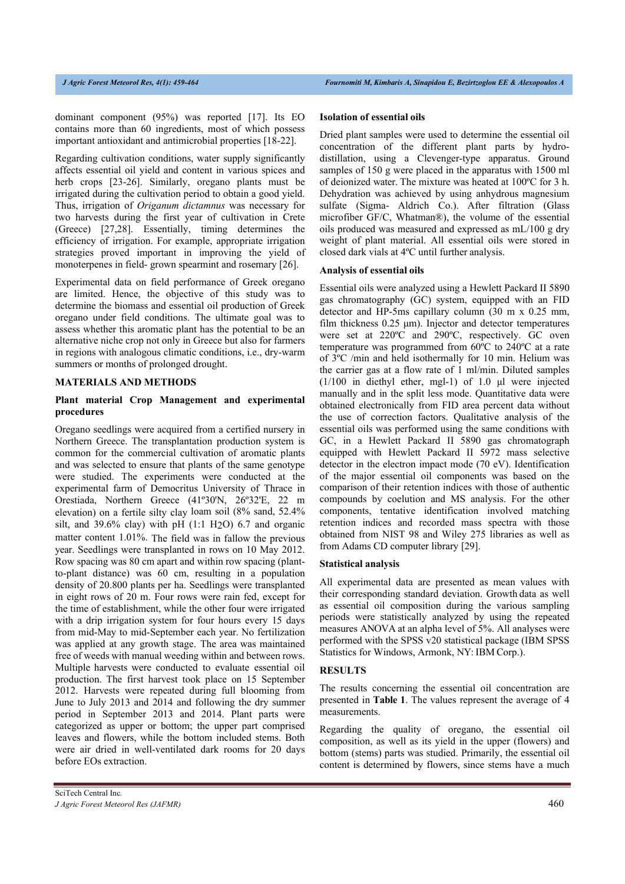dominant component (95%) was reported [17]. Its EO contains more than 60 ingredients, most of which possess important antioxidant and antimicrobial properties [18-22].

Regarding cultivation conditions, water supply significantly affects essential oil yield and content in various spices and herb crops [23-26]. Similarly, oregano plants must be irrigated during the cultivation period to obtain a good yield. Thus, irrigation of *Origanum dictamnus* was necessary for two harvests during the first year of cultivation in Crete (Greece) [27,28]. Essentially, timing determines the efficiency of irrigation. For example, appropriate irrigation strategies proved important in improving the yield of monoterpenes in field- grown spearmint and rosemary [26].

Experimental data on field performance of Greek oregano are limited. Hence, the objective of this study was to determine the biomass and essential oil production of Greek oregano under field conditions. The ultimate goal was to assess whether this aromatic plant has the potential to be an alternative niche crop not only in Greece but also for farmers in regions with analogous climatic conditions, i.e., dry-warm summers or months of prolonged drought.

#### **MATERIALS AND METHODS**

#### **Plant material Crop Management and experimental procedures**

Oregano seedlings were acquired from a certified nursery in Northern Greece. The transplantation production system is common for the commercial cultivation of aromatic plants and was selected to ensure that plants of the same genotype were studied. The experiments were conducted at the experimental farm of Democritus University of Thrace in Orestiada, Northern Greece (41º30'N, 26º32'E, 22 m elevation) on a fertile silty clay loam soil (8% sand, 52.4% silt, and  $39.6\%$  clay) with pH (1:1 H<sub>2</sub>O) 6.7 and organic matter content 1.01%. The field was in fallow the previous year. Seedlings were transplanted in rows on 10 May 2012. Row spacing was 80 cm apart and within row spacing (plantto-plant distance) was 60 cm, resulting in a population density of 20.800 plants per ha. Seedlings were transplanted in eight rows of 20 m. Four rows were rain fed, except for the time of establishment, while the other four were irrigated with a drip irrigation system for four hours every 15 days from mid-May to mid-September each year. No fertilization was applied at any growth stage. The area was maintained free of weeds with manual weeding within and between rows. Multiple harvests were conducted to evaluate essential oil production. The first harvest took place on 15 September 2012. Harvests were repeated during full blooming from June to July 2013 and 2014 and following the dry summer period in September 2013 and 2014. Plant parts were categorized as upper or bottom; the upper part comprised leaves and flowers, while the bottom included stems. Both were air dried in well-ventilated dark rooms for 20 days before EOs extraction.

## **Isolation of essential oils**

Dried plant samples were used to determine the essential oil concentration of the different plant parts by hydrodistillation, using a Clevenger-type apparatus. Ground samples of 150 g were placed in the apparatus with 1500 ml of deionized water. The mixture was heated at 100ºC for 3 h. Dehydration was achieved by using anhydrous magnesium sulfate (Sigma- Aldrich Co.). After filtration (Glass microfiber GF/C, Whatman®), the volume of the essential oils produced was measured and expressed as mL/100 g dry weight of plant material. All essential oils were stored in closed dark vials at 4ºC until further analysis.

### **Analysis of essential oils**

Essential oils were analyzed using a Hewlett Packard II 5890 gas chromatography (GC) system, equipped with an FID detector and HP-5ms capillary column (30 m x 0.25 mm, film thickness 0.25 μm). Injector and detector temperatures were set at 220ºC and 290ºC, respectively. GC oven temperature was programmed from 60ºC to 240ºC at a rate of 3ºC /min and held isothermally for 10 min. Helium was the carrier gas at a flow rate of 1 ml/min. Diluted samples  $(1/100$  in diethyl ether, mgl-1) of 1.0  $\mu$ l were injected manually and in the split less mode. Quantitative data were obtained electronically from FID area percent data without the use of correction factors. Qualitative analysis of the essential oils was performed using the same conditions with GC, in a Hewlett Packard II 5890 gas chromatograph equipped with Hewlett Packard II 5972 mass selective detector in the electron impact mode (70 eV). Identification of the major essential oil components was based on the comparison of their retention indices with those of authentic compounds by coelution and MS analysis. For the other components, tentative identification involved matching retention indices and recorded mass spectra with those obtained from NIST 98 and Wiley 275 libraries as well as from Adams CD computer library [29].

### **Statistical analysis**

All experimental data are presented as mean values with their corresponding standard deviation. Growth data as well as essential oil composition during the various sampling periods were statistically analyzed by using the repeated measures ANOVA at an alpha level of 5%. All analyses were performed with the SPSS v20 statistical package (IBM SPSS Statistics for Windows, Armonk, NY: IBM Corp.).

#### **RESULTS**

The results concerning the essential oil concentration are presented in **Table 1**. The values represent the average of 4 measurements.

Regarding the quality of oregano, the essential oil composition, as well as its yield in the upper (flowers) and bottom (stems) parts was studied. Primarily, the essential oil content is determined by flowers, since stems have a much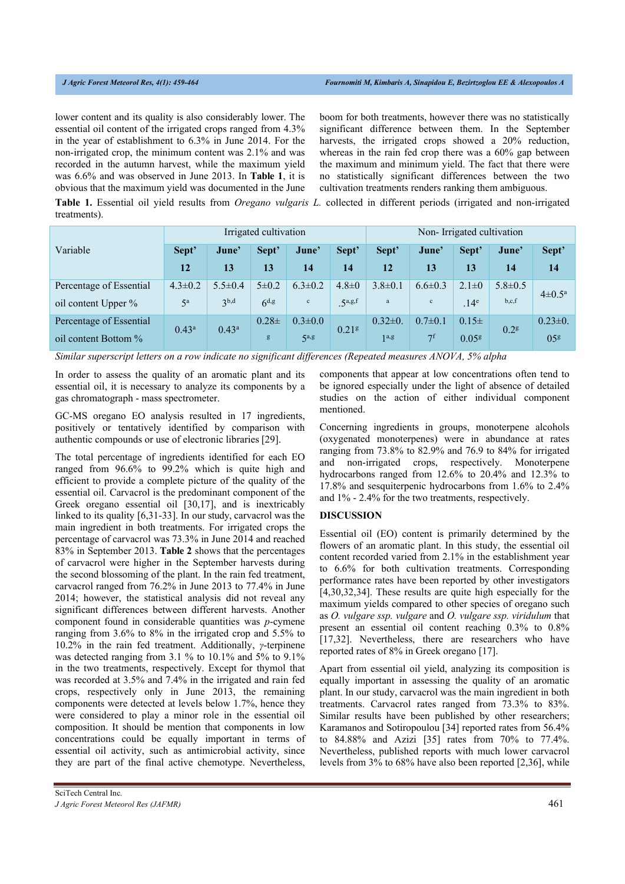lower content and its quality is also considerably lower. The essential oil content of the irrigated crops ranged from 4.3% in the year of establishment to 6.3% in June 2014. For the non-irrigated crop, the minimum content was 2.1% and was recorded in the autumn harvest, while the maximum yield was 6.6% and was observed in June 2013. In **Table 1**, it is obvious that the maximum yield was documented in the June boom for both treatments, however there was no statistically significant difference between them. In the September harvests, the irrigated crops showed a 20% reduction, whereas in the rain fed crop there was a 60% gap between the maximum and minimum yield. The fact that there were no statistically significant differences between the two cultivation treatments renders ranking them ambiguous.

**Table 1.** Essential oil yield results from *Oregano vulgaris L.* collected in different periods (irrigated and non-irrigated treatments).

|                         | Irrigated cultivation |                  |             |                  |                     | Non-Irrigated cultivation |                |                   |                  |                       |
|-------------------------|-----------------------|------------------|-------------|------------------|---------------------|---------------------------|----------------|-------------------|------------------|-----------------------|
| Variable                | Sept'                 | June'            | Sept'       | June'            | Sept'               | Sept'                     | June'          | Sept'             | June'            | Sept'                 |
|                         | 12                    | 13               | 13          | 14               | 14                  | 12                        | 13             | 13                | 14               | 14                    |
| Percentage of Essential | $4.3 \pm 0.2$         | $5.5 \pm 0.4$    | $5 \pm 0.2$ | $6.3 \pm 0.2$    | $4.8 \pm 0$         | $3.8 \pm 0.1$             | $6.6 \pm 0.3$  | $2.1 \pm 0$       | $5.8 \pm 0.5$    | $4\pm 0.5^{\text{a}}$ |
| oil content Upper %     | $5^{\rm a}$           | 3 <sup>b,d</sup> | $6^{d,g}$   | $\mathbf c$      | .5 <sup>a,g,f</sup> | $\rm{a}$                  | $\mathbf c$    | .14 <sup>e</sup>  | b,c,f            |                       |
| Percentage of Essential | $0.43^{\rm a}$        | $0.43^{\rm a}$   | $0.28\pm$   | $0.3 \pm 0.0$    | 0.21 <sup>g</sup>   | $0.32 \pm 0.$             | $0.7 \pm 0.1$  | $0.15\pm$         | 0.2 <sup>g</sup> | $0.23 \pm 0.$         |
| oil content Bottom %    |                       |                  | g           | 5 <sup>a,g</sup> |                     | 1 <sup>a,g</sup>          | 7 <sup>f</sup> | 0.05 <sup>g</sup> |                  | 05 <sup>g</sup>       |

*Similar superscript letters on a row indicate no significant differences (Repeated measures ANOVA, 5% alpha* 

In order to assess the quality of an aromatic plant and its essential oil, it is necessary to analyze its components by a gas chromatograph - mass spectrometer.

GC-MS oregano EO analysis resulted in 17 ingredients, positively or tentatively identified by comparison with authentic compounds or use of electronic libraries [29].

The total percentage of ingredients identified for each EO ranged from 96.6% to 99.2% which is quite high and efficient to provide a complete picture of the quality of the essential oil. Carvacrol is the predominant component of the Greek oregano essential oil [30,17], and is inextricably linked to its quality [6,31-33]. In our study, carvacrol was the main ingredient in both treatments. For irrigated crops the percentage of carvacrol was 73.3% in June 2014 and reached 83% in September 2013. **Table 2** shows that the percentages of carvacrol were higher in the September harvests during the second blossoming of the plant. In the rain fed treatment, carvacrol ranged from 76.2% in June 2013 to 77.4% in June 2014; however, the statistical analysis did not reveal any significant differences between different harvests. Another component found in considerable quantities was *p*-cymene ranging from 3.6% to 8% in the irrigated crop and 5.5% to 10.2% in the rain fed treatment. Additionally, *γ*-terpinene was detected ranging from 3.1 % to 10.1% and 5% to 9.1% in the two treatments, respectively. Except for thymol that was recorded at 3.5% and 7.4% in the irrigated and rain fed crops, respectively only in June 2013, the remaining components were detected at levels below 1.7%, hence they were considered to play a minor role in the essential oil composition. It should be mention that components in low concentrations could be equally important in terms of essential oil activity, such as antimicrobial activity, since they are part of the final active chemotype. Nevertheless,

components that appear at low concentrations often tend to be ignored especially under the light of absence of detailed studies on the action of either individual component mentioned.

Concerning ingredients in groups, monoterpene alcohols (oxygenated monoterpenes) were in abundance at rates ranging from 73.8% to 82.9% and 76.9 to 84% for irrigated and non-irrigated crops, respectively. Monoterpene hydrocarbons ranged from 12.6% to 20.4% and 12.3% to 17.8% and sesquiterpenic hydrocarbons from 1.6% to 2.4% and 1% - 2.4% for the two treatments, respectively.

#### **DISCUSSION**

Essential oil (EO) content is primarily determined by the flowers of an aromatic plant. In this study, the essential oil content recorded varied from 2.1% in the establishment year to 6.6% for both cultivation treatments. Corresponding performance rates have been reported by other investigators [4,30,32,34]. These results are quite high especially for the maximum yields compared to other species of oregano such as *O. vulgare ssp. vulgare* and *O. vulgare ssp. viridulum* that present an essential oil content reaching 0.3% to 0.8% [17,32]. Nevertheless, there are researchers who have reported rates of 8% in Greek oregano [17].

Apart from essential oil yield, analyzing its composition is equally important in assessing the quality of an aromatic plant. In our study, carvacrol was the main ingredient in both treatments. Carvacrol rates ranged from 73.3% to 83%. Similar results have been published by other researchers; Karamanos and Sotiropoulou [34] reported rates from 56.4% to 84.88% and Azizi [35] rates from 70% to 77.4%. Nevertheless, published reports with much lower carvacrol levels from 3% to 68% have also been reported [2,36], while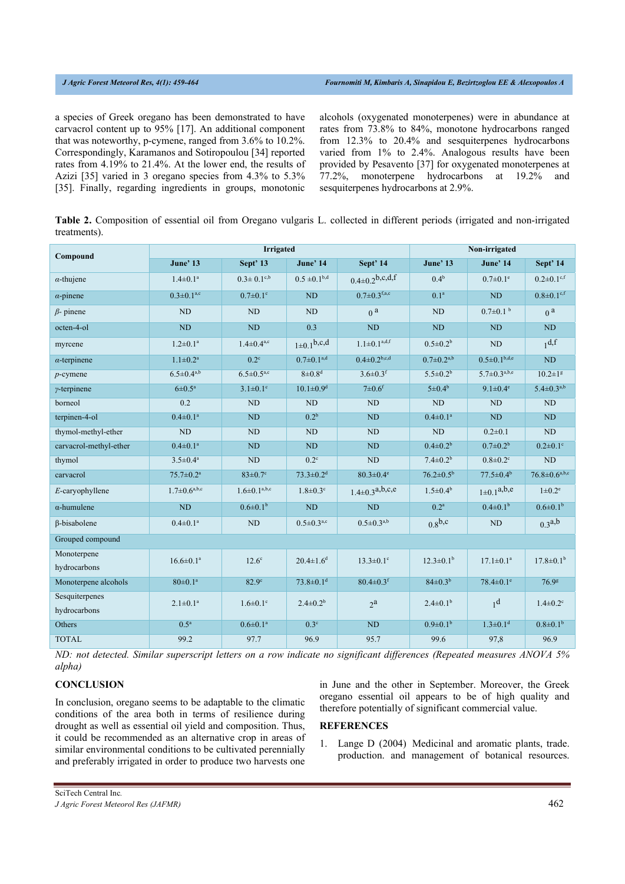a species of Greek oregano has been demonstrated to have carvacrol content up to 95% [17]. An additional component that was noteworthy, p-cymene, ranged from 3.6% to 10.2%. Correspondingly, Karamanos and Sotiropoulou [34] reported rates from 4.19% to 21.4%. At the lower end, the results of Azizi [35] varied in 3 oregano species from 4.3% to 5.3% [35]. Finally, regarding ingredients in groups, monotonic

alcohols (oxygenated monoterpenes) were in abundance at rates from 73.8% to 84%, monotone hydrocarbons ranged from 12.3% to 20.4% and sesquiterpenes hydrocarbons varied from 1% to 2.4%. Analogous results have been provided by Pesavento [37] for oxygenated monoterpenes at 77.2%, monoterpene hydrocarbons at 19.2% and sesquiterpenes hydrocarbons at 2.9%.

**Table 2.** Composition of essential oil from Oregano vulgaris L. collected in different periods (irrigated and non-irrigated treatments).

| Compound                       |                                            | <b>Irrigated</b>                  | Non-irrigated               |                                |                          |                                |                              |  |  |  |  |
|--------------------------------|--------------------------------------------|-----------------------------------|-----------------------------|--------------------------------|--------------------------|--------------------------------|------------------------------|--|--|--|--|
|                                | June' 13                                   | Sept' 13                          | June' 14                    | Sept' 14                       | <b>June' 13</b>          | June' 14                       | Sept' 14                     |  |  |  |  |
| $\alpha$ -thujene              | $1.4 \pm 0.1^a$                            | $0.3 \pm 0.1^{\text{c},\text{b}}$ | $0.5 \pm 0.1b,d$            | $0.4 \pm 0.2$ b,c,d,f          | 0.4 <sup>b</sup>         | $0.7 \pm 0.1^e$                | $0.2 \pm 0.1$ <sup>c,f</sup> |  |  |  |  |
| $\alpha$ -pinene               | $0.3 \pm 0.1^{a,c}$                        | $0.7 \pm 0.1$ °                   | <b>ND</b>                   | $0.7 \pm 0.3$ f,a,c            | 0.1 <sup>a</sup>         | ND                             | $0.8 \pm 0.1$ <sup>c,f</sup> |  |  |  |  |
| $\beta$ - pinene               | <b>ND</b>                                  | <b>ND</b>                         | N <sub>D</sub>              | 0 <sup>a</sup>                 | <b>ND</b>                | $0.7 \pm 0.1$ b                | 0 <sup>a</sup>               |  |  |  |  |
| octen-4-ol                     | <b>ND</b>                                  | <b>ND</b>                         | 0.3                         | ND                             | ND                       | <b>ND</b>                      | ND                           |  |  |  |  |
| myrcene                        | $1.2 \pm 0.1^a$                            | $1.4 \pm 0.4^{a,c}$               | $1 \pm 0.1$ b,c,d           | $1.1 \pm 0.1^{a,d,f}$          | $0.5 \pm 0.2^b$          | <b>ND</b>                      | 1 <sup>d,f</sup>             |  |  |  |  |
| $\alpha$ -terpinene            | $1.1 \pm 0.2^a$                            | $0.2^{\circ}$                     | $0.7 \pm 0.1^{a,d}$         | $0.4 \pm 0.2$ <sup>b,c,d</sup> | $0.7 \pm 0.2^{a,b}$      | $0.5 \pm 0.1$ <sub>b,d,e</sub> | ND                           |  |  |  |  |
| $p$ -cymene                    | $6.5 \pm 0.4^{a,b}$                        | $6.5 \pm 0.5^{\text{a,c}}$        | $8\pm0.8$ <sup>d</sup>      | $3.6 \pm 0.3$ <sup>f</sup>     | $5.5 \pm 0.2^b$          | $5.7 \pm 0.3^{a,b,e}$          | $10.2 \pm 1$ <sup>g</sup>    |  |  |  |  |
| $\gamma$ -terpinene            | $6 \pm 0.5^{\text{a}}$                     | $3.1 \pm 0.1$ °                   | $10.1 \pm 0.9$ <sup>d</sup> | $7 \pm 0.6$ f                  | $5 \pm 0.4^{\rm b}$      | $9.1 \pm 0.4^e$                | $5.4 \pm 0.3^{a,b}$          |  |  |  |  |
| borneol                        | 0.2                                        | <b>ND</b>                         | <b>ND</b>                   | <b>ND</b>                      | ND                       | ND                             | ND                           |  |  |  |  |
| terpinen-4-ol                  | $0.4 \pm 0.1^{\text{a}}$                   | <b>ND</b>                         | 0.2 <sup>b</sup>            | ND                             | $0.4 \pm 0.1^{\text{a}}$ | ND                             | ND                           |  |  |  |  |
| thymol-methyl-ether            | <b>ND</b>                                  | <b>ND</b>                         | <b>ND</b>                   | <b>ND</b>                      | $\rm ND$                 | $0.2 \pm 0.1$                  | ND                           |  |  |  |  |
| carvacrol-methyl-ether         | $0.4 \pm 0.1^a$                            | ND                                | <b>ND</b>                   | <b>ND</b>                      | $0.4 \pm 0.2^b$          | $0.7 \pm 0.2^{\rm b}$          | $0.2 \pm 0.1$ °              |  |  |  |  |
| thymol                         | $3.5 \pm 0.4^{\text{a}}$                   | <b>ND</b>                         | $0.2^{\circ}$               | <b>ND</b>                      | $7.4 \pm 0.2^b$          | $0.8 \pm 0.2$ <sup>c</sup>     | ND                           |  |  |  |  |
| carvacrol                      | $75.7 \pm 0.2^{\mathrm{a}}$                | $83 \pm 0.7$ °                    | $73.3 \pm 0.2$ <sup>d</sup> | $80.3 \pm 0.4$ <sup>e</sup>    | $76.2 \pm 0.5^{\rm b}$   | $77.5 \pm 0.4^b$               | $76.8 \pm 0.6^{a,b,c}$       |  |  |  |  |
| $E$ -caryophyllene             | $1.7 \pm 0.6^{\text{a},\text{b},\text{c}}$ | $1.6 \pm 0.1^{\rm a,b,c}$         | $1.8 \pm 0.3$ °             | $1.4 \pm 0.3^{a,b,c,e}$        | $1.5 \pm 0.4^{\rm b}$    | $1 \pm 0.1^{a,b,c}$            | $1\pm0.2^e$                  |  |  |  |  |
| $\alpha$ -humulene             | <b>ND</b>                                  | $0.6 \pm 0.1^b$                   | <b>ND</b>                   | ND                             | 0.2 <sup>a</sup>         | $0.4 \pm 0.1^{\rm b}$          | $0.6 \pm 0.1$ <sup>b</sup>   |  |  |  |  |
| β-bisabolene                   | $0.4 \pm 0.1^a$                            | ND                                | $0.5 \pm 0.3^{\text{a,c}}$  | $0.5 \pm 0.3^{a,b}$            | 0.8 <sup>b,c</sup>       | ND                             | 0.3 <sup>a,b</sup>           |  |  |  |  |
| Grouped compound               |                                            |                                   |                             |                                |                          |                                |                              |  |  |  |  |
| Monoterpene<br>hydrocarbons    | $16.6 \pm 0.1^{\text{a}}$                  | $12.6^\circ$                      | $20.4 \pm 1.6$ <sup>d</sup> | $13.3 \pm 0.1$ <sup>c</sup>    | $12.3 \pm 0.1^b$         | $17.1 \pm 0.1^{\text{a}}$      | $17.8 \pm 0.1^b$             |  |  |  |  |
| Monoterpene alcohols           | $80 \pm 0.1^a$                             | $82.9^\circ$                      | $73.8 \pm 0.1$ <sup>d</sup> | $80.4 \pm 0.3$ <sup>f</sup>    | $84 \pm 0.3^{b}$         | $78.4 \pm 0.1$ <sup>e</sup>    | 76.9 <sup>g</sup>            |  |  |  |  |
| Sesquiterpenes<br>hydrocarbons | $2.1 \pm 0.1^a$                            | $1.6 \pm 0.1$ <sup>c</sup>        | $2.4 \pm 0.2^b$             | $2^a$                          | $2.4 \pm 0.1^b$          | 1 <sup>d</sup>                 | $1.4 \pm 0.2$ <sup>c</sup>   |  |  |  |  |
| Others                         | 0.5 <sup>a</sup>                           | $0.6 \pm 0.1^a$                   | 0.3 <sup>c</sup>            | <b>ND</b>                      | $0.9 \pm 0.1^b$          | $1.3 \pm 0.1$ <sup>d</sup>     | $0.8 \pm 0.1^b$              |  |  |  |  |
| <b>TOTAL</b>                   | 99.2                                       | 97.7                              | 96.9                        | 95.7                           | 99.6                     | 97,8                           | 96.9                         |  |  |  |  |

*ND: not detected. Similar superscript letters on a row indicate no significant differences (Repeated measures ANOVA 5% alpha)* 

### **CONCLUSION**

In conclusion, oregano seems to be adaptable to the climatic conditions of the area both in terms of resilience during drought as well as essential oil yield and composition. Thus, it could be recommended as an alternative crop in areas of similar environmental conditions to be cultivated perennially and preferably irrigated in order to produce two harvests one

in June and the other in September. Moreover, the Greek oregano essential oil appears to be of high quality and therefore potentially of significant commercial value.

#### **REFERENCES**

1. Lange D (2004) Medicinal and aromatic plants, trade. production. and management of botanical resources.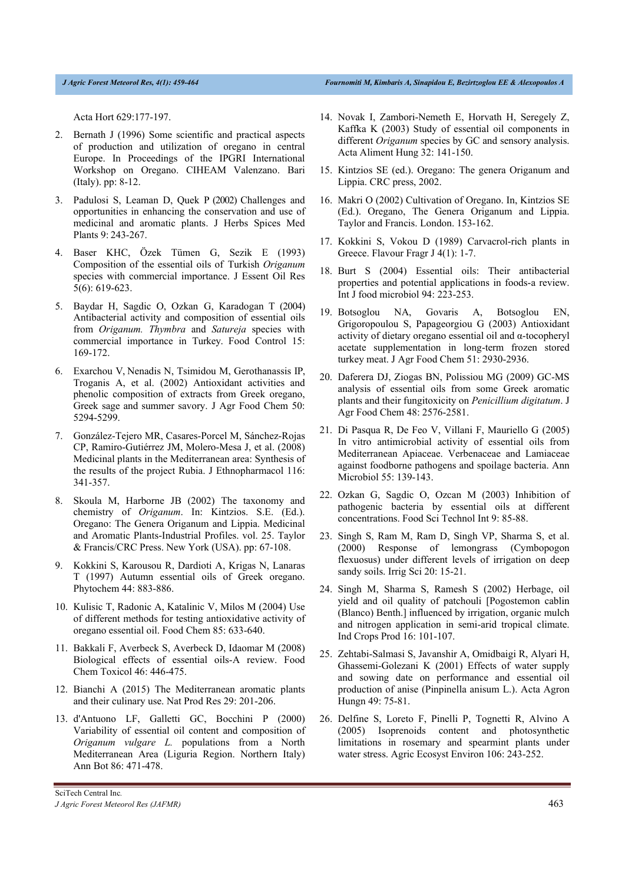Acta Hort 629:177-197.

- 2. Bernath J (1996) Some scientific and practical aspects of production and utilization of oregano in central Europe. In Proceedings of the IPGRI International Workshop on Oregano. CIHEAM Valenzano. Bari (Italy). pp: 8-12.
- 3. Padulosi S, Leaman D, Quek P (2002) Challenges and opportunities in enhancing the conservation and use of medicinal and aromatic plants. J Herbs Spices Med Plants 9: 243-267.
- 4. Baser KHC, Özek Tümen G, Sezik E (1993) Composition of the essential oils of Turkish *Origanum* species with commercial importance. J Essent Oil Res 5(6): 619-623.
- 5. Baydar H, Sagdic O, Ozkan G, Karadogan T (2004) Antibacterial activity and composition of essential oils from *Origanum. Thymbra* and *Satureja* species with commercial importance in Turkey. Food Control 15: 169-172.
- 6. Exarchou V, Nenadis N, Tsimidou M, Gerothanassis IP, Troganis A, et al. (2002) Antioxidant activities and phenolic composition of extracts from Greek oregano, Greek sage and summer savory. J Agr Food Chem 50: 5294-5299.
- 7. González-Tejero MR, Casares-Porcel M, Sánchez-Rojas CP, Ramiro-Gutiérrez JM, Molero-Mesa J, et al. (2008) Medicinal plants in the Mediterranean area: Synthesis of the results of the project Rubia. J Ethnopharmacol 116: 341-357.
- 8. Skoula M, Harborne JB (2002) The taxonomy and chemistry of *Origanum*. In: Kintzios. S.E. (Ed.). Oregano: The Genera Origanum and Lippia. Medicinal and Aromatic Plants-Industrial Profiles. vol. 25. Taylor & Francis/CRC Press. New York (USA). pp: 67-108.
- 9. Kokkini S, Karousou R, Dardioti A, Krigas N, Lanaras T (1997) Autumn essential oils of Greek oregano. Phytochem 44: 883-886.
- 10. Kulisic T, Radonic A, Katalinic V, Milos M (2004) Use of different methods for testing antioxidative activity of oregano essential oil. Food Chem 85: 633-640.
- 11. Bakkali F, Averbeck S, Averbeck D, Idaomar M (2008) Biological effects of essential oils-A review. Food Chem Toxicol 46: 446-475.
- 12. Bianchi A (2015) The Mediterranean aromatic plants and their culinary use. Nat Prod Res 29: 201-206.
- 13. d'Antuono LF, Galletti GC, Bocchini P (2000) Variability of essential oil content and composition of *Origanum vulgare L.* populations from a North Mediterranean Area (Liguria Region. Northern Italy) Ann Bot 86: 471-478.
- 14. Novak I, Zambori-Nemeth E, Horvath H, Seregely Z, Kaffka K (2003) Study of essential oil components in different *Origanum* species by GC and sensory analysis. Acta Aliment Hung 32: 141-150.
- 15. Kintzios SE (ed.). Oregano: The genera Origanum and Lippia. CRC press, 2002.
- 16. Makri O (2002) Cultivation of Oregano. In, Kintzios SE (Ed.). Oregano, The Genera Origanum and Lippia. Taylor and Francis. London. 153-162.
- 17. Kokkini S, Vokou D (1989) Carvacrol‐rich plants in Greece. Flavour Fragr J 4(1): 1-7.
- 18. Burt S (2004) Essential oils: Their antibacterial properties and potential applications in foods-a review. Int J food microbiol 94: 223-253.
- 19. Botsoglou NA, Govaris A, Botsoglou EN, Grigoropoulou S, Papageorgiou G (2003) Antioxidant activity of dietary oregano essential oil and α-tocopheryl acetate supplementation in long-term frozen stored turkey meat. J Agr Food Chem 51: 2930-2936.
- 20. Daferera DJ, Ziogas BN, Polissiou MG (2009) GC-MS analysis of essential oils from some Greek aromatic plants and their fungitoxicity on *Penicillium digitatum*. J Agr Food Chem 48: 2576-2581.
- 21. Di Pasqua R, De Feo V, Villani F, Mauriello G (2005) In vitro antimicrobial activity of essential oils from Mediterranean Apiaceae. Verbenaceae and Lamiaceae against foodborne pathogens and spoilage bacteria. Ann Microbiol 55: 139-143.
- 22. Ozkan G, Sagdic O, Ozcan M (2003) Inhibition of pathogenic bacteria by essential oils at different concentrations. Food Sci Technol Int 9: 85-88.
- 23. Singh S, Ram M, Ram D, Singh VP, Sharma S, et al. (2000) Response of lemongrass (Cymbopogon flexuosus) under different levels of irrigation on deep sandy soils. Irrig Sci 20: 15-21.
- 24. Singh M, Sharma S, Ramesh S (2002) Herbage, oil yield and oil quality of patchouli [Pogostemon cablin (Blanco) Benth.] influenced by irrigation, organic mulch and nitrogen application in semi-arid tropical climate. Ind Crops Prod 16: 101-107.
- 25. Zehtabi-Salmasi S, Javanshir A, Omidbaigi R, Alyari H, Ghassemi-Golezani K (2001) Effects of water supply and sowing date on performance and essential oil production of anise (Pinpinella anisum L.). Acta Agron Hungn 49: 75-81.
- 26. Delfine S, Loreto F, Pinelli P, Tognetti R, Alvino A (2005) Isoprenoids content and photosynthetic limitations in rosemary and spearmint plants under water stress. Agric Ecosyst Environ 106: 243-252.